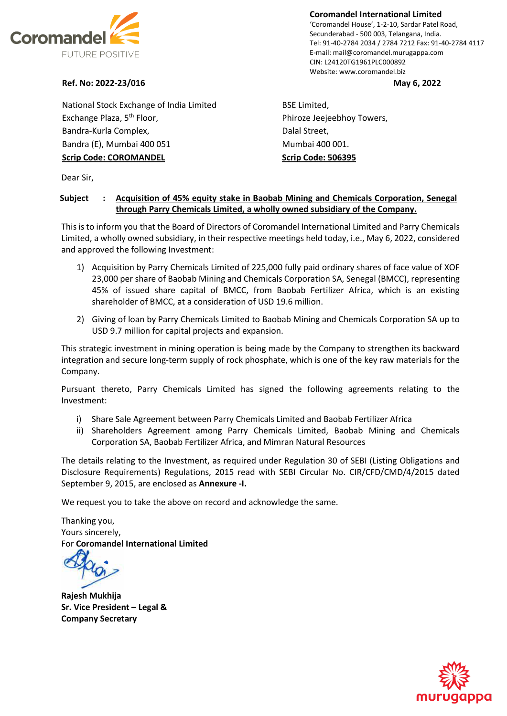

**Coromandel International Limited** 'Coromandel House', 1-2-10, Sardar Patel Road, Secunderabad - 500 003, Telangana, India. Tel: 91-40-2784 2034 / 2784 7212 Fax: 91-40-2784 4117 E-mail: mail@coromandel.murugappa.com CIN: L24120TG1961PLC000892 Website: www.coromandel.biz

## **Ref. No: 2022-23/016 May 6, 2022**

National Stock Exchange of India Limited Exchange Plaza, 5<sup>th</sup> Floor, Bandra-Kurla Complex, Bandra (E), Mumbai 400 051 **Scrip Code: COROMANDEL**

BSE Limited, Phiroze Jeejeebhoy Towers, Dalal Street, Mumbai 400 001. **Scrip Code: 506395**

Dear Sir,

## **Subject : Acquisition of 45% equity stake in Baobab Mining and Chemicals Corporation, Senegal through Parry Chemicals Limited, a wholly owned subsidiary of the Company.**

This is to inform you that the Board of Directors of Coromandel International Limited and Parry Chemicals Limited, a wholly owned subsidiary, in their respective meetings held today, i.e., May 6, 2022, considered and approved the following Investment:

- 1) Acquisition by Parry Chemicals Limited of 225,000 fully paid ordinary shares of face value of XOF 23,000 per share of Baobab Mining and Chemicals Corporation SA, Senegal (BMCC), representing 45% of issued share capital of BMCC, from Baobab Fertilizer Africa, which is an existing shareholder of BMCC, at a consideration of USD 19.6 million.
- 2) Giving of loan by Parry Chemicals Limited to Baobab Mining and Chemicals Corporation SA up to USD 9.7 million for capital projects and expansion.

This strategic investment in mining operation is being made by the Company to strengthen its backward integration and secure long-term supply of rock phosphate, which is one of the key raw materials for the Company.

Pursuant thereto, Parry Chemicals Limited has signed the following agreements relating to the Investment:

- i) Share Sale Agreement between Parry Chemicals Limited and Baobab Fertilizer Africa
- ii) Shareholders Agreement among Parry Chemicals Limited, Baobab Mining and Chemicals Corporation SA, Baobab Fertilizer Africa, and Mimran Natural Resources

The details relating to the Investment, as required under Regulation 30 of SEBI (Listing Obligations and Disclosure Requirements) Regulations, 2015 read with SEBI Circular No. CIR/CFD/CMD/4/2015 dated September 9, 2015, are enclosed as **Annexure -I.**

We request you to take the above on record and acknowledge the same.

Thanking you, Yours sincerely, For **Coromandel International Limited**

**Rajesh Mukhija Sr. Vice President – Legal & Company Secretary**

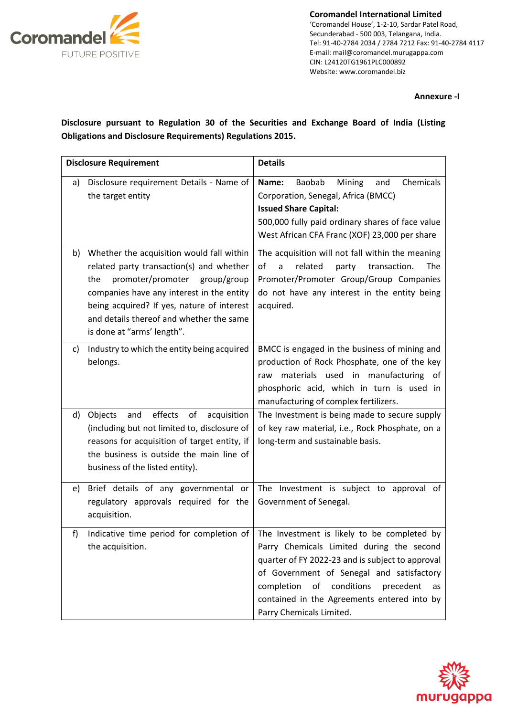

**Coromandel International Limited** 'Coromandel House', 1-2-10, Sardar Patel Road, Secunderabad - 500 003, Telangana, India. Tel: 91-40-2784 2034 / 2784 7212 Fax: 91-40-2784 4117 E-mail: mail@coromandel.murugappa.com CIN: L24120TG1961PLC000892 Website: www.coromandel.biz

## **Annexure -I**

**Disclosure pursuant to Regulation 30 of the Securities and Exchange Board of India (Listing Obligations and Disclosure Requirements) Regulations 2015.**

| <b>Disclosure Requirement</b> |                                                                                                                                                                                                                                                                                                    | <b>Details</b>                                                                                                                                                                                                                                                                                                                                                         |
|-------------------------------|----------------------------------------------------------------------------------------------------------------------------------------------------------------------------------------------------------------------------------------------------------------------------------------------------|------------------------------------------------------------------------------------------------------------------------------------------------------------------------------------------------------------------------------------------------------------------------------------------------------------------------------------------------------------------------|
| a)                            | Disclosure requirement Details - Name of<br>the target entity                                                                                                                                                                                                                                      | Chemicals<br>Name:<br>Baobab<br>Mining<br>and<br>Corporation, Senegal, Africa (BMCC)<br><b>Issued Share Capital:</b><br>500,000 fully paid ordinary shares of face value<br>West African CFA Franc (XOF) 23,000 per share                                                                                                                                              |
| b)                            | Whether the acquisition would fall within<br>related party transaction(s) and whether<br>promoter/promoter group/group<br>the<br>companies have any interest in the entity<br>being acquired? If yes, nature of interest<br>and details thereof and whether the same<br>is done at "arms' length". | The acquisition will not fall within the meaning<br>οf<br>related<br>transaction.<br>The<br>a<br>party<br>Promoter/Promoter Group/Group Companies<br>do not have any interest in the entity being<br>acquired.                                                                                                                                                         |
| C)                            | Industry to which the entity being acquired<br>belongs.                                                                                                                                                                                                                                            | BMCC is engaged in the business of mining and<br>production of Rock Phosphate, one of the key<br>materials used in manufacturing of<br>raw<br>phosphoric acid, which in turn is used in<br>manufacturing of complex fertilizers.                                                                                                                                       |
| d)                            | effects<br>of<br>Objects<br>and<br>acquisition<br>(including but not limited to, disclosure of<br>reasons for acquisition of target entity, if<br>the business is outside the main line of<br>business of the listed entity).                                                                      | The Investment is being made to secure supply<br>of key raw material, i.e., Rock Phosphate, on a<br>long-term and sustainable basis.                                                                                                                                                                                                                                   |
| e)                            | Brief details of any governmental or<br>regulatory approvals required for the<br>acquisition.                                                                                                                                                                                                      | The Investment is subject to approval of<br>Government of Senegal.                                                                                                                                                                                                                                                                                                     |
| f)                            | the acquisition.                                                                                                                                                                                                                                                                                   | Indicative time period for completion of $ $ The Investment is likely to be completed by<br>Parry Chemicals Limited during the second<br>quarter of FY 2022-23 and is subject to approval<br>of Government of Senegal and satisfactory<br>completion<br>of<br>conditions<br>precedent<br>as<br>contained in the Agreements entered into by<br>Parry Chemicals Limited. |